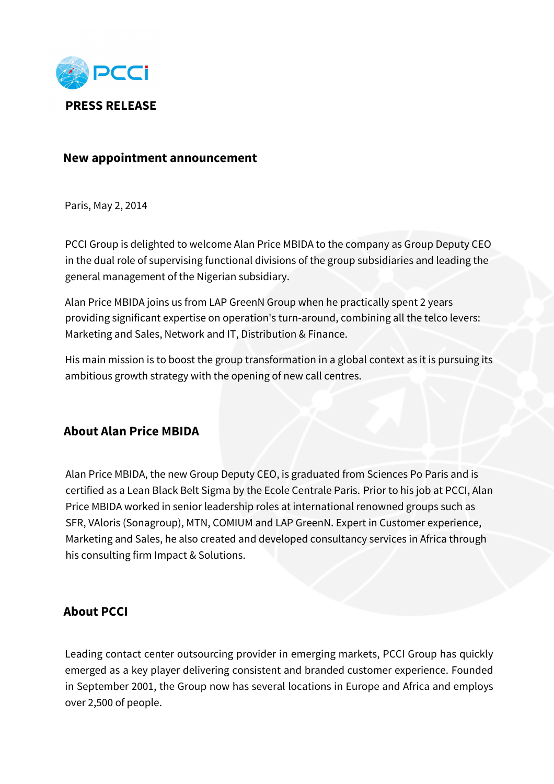

## **New appointment announcement**

Paris, May 2, 2014

PCCI Group is delighted to welcome Alan Price MBIDA to the company as Group Deputy CEO in the dual role of supervising functional divisions of the group subsidiaries and leading the general management of the Nigerian subsidiary.

Alan Price MBIDA joins us from LAP GreenN Group when he practically spent 2 years providing significant expertise on operation's turn-around, combining all the telco levers: Marketing and Sales, Network and IT, Distribution & Finance.

His main mission is to boost the group transformation in a global context as it is pursuing its ambitious growth strategy with the opening of new call centres.

## **About Alan Price MBIDA**

Alan Price MBIDA, the new Group Deputy CEO, is graduated from Sciences Po Paris and is certified as a Lean Black Belt Sigma by the Ecole Centrale Paris. Prior to his job at PCCI, Alan Price MBIDA worked in senior leadership roles at international renowned groups such as SFR, VAloris (Sonagroup), MTN, COMIUM and LAP GreenN. Expert in Customer experience, Marketing and Sales, he also created and developed consultancy services in Africa through his consulting firm Impact & Solutions.

## **About PCCI**

Leading contact center outsourcing provider in emerging markets, PCCI Group has quickly emerged as a key player delivering consistent and branded customer experience. Founded in September 2001, the Group now has several locations in Europe and Africa and employs over 2,500 of people.